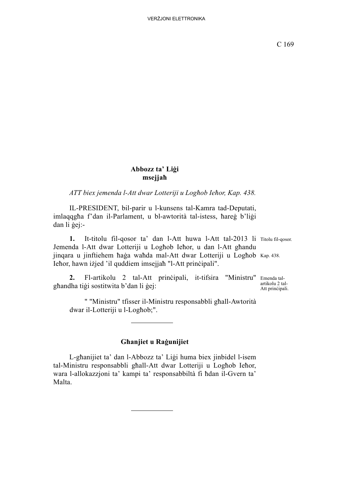## **Abbozz ta' Liġi msejjaħ**

*ATT biex jemenda l-Att dwar Lotteriji u Logħob Ieħor, Kap. 438.*

IL-PRESIDENT, bil-parir u l-kunsens tal-Kamra tad-Deputati, imlaqqgħa f'dan il-Parlament, u bl-awtorità tal-istess, ħareġ b'liġi dan li ġej:-

1. It-titolu fil-qosor ta' dan l-Att huwa l-Att tal-2013 li Titolu fil-qosor. jinqara u jinftiehem haġa waħda mal-Att dwar Lotteriji u Logħob Kap. 438. Jemenda l-Att dwar Lotteriji u Logħob Ieħor, u dan l-Att għandu Ieħor, hawn iżjed 'il quddiem imsejjaħ "l-Att prinċipali".

2. Fl-artikolu 2 tal-Att principali, it-tifsira "Ministru" Emenda talgħandha tiġi sostitwita b'dan li ġej:

artikolu 2 tal-Att prinċipali.

" "Ministru" tfisser il-Ministru responsabbli għall-Awtorità dwar il-Lotteriji u l-Logħob;".

## **Għanjiet u Raġunijiet**

L-għanijiet ta' dan l-Abbozz ta' Liġi huma biex jinbidel l-isem tal-Ministru responsabbli għall-Att dwar Lotteriji u Logħob Ieħor, wara l-allokazzjoni ta' kampi ta' responsabbiltà fi ħdan il-Gvern ta' Malta.